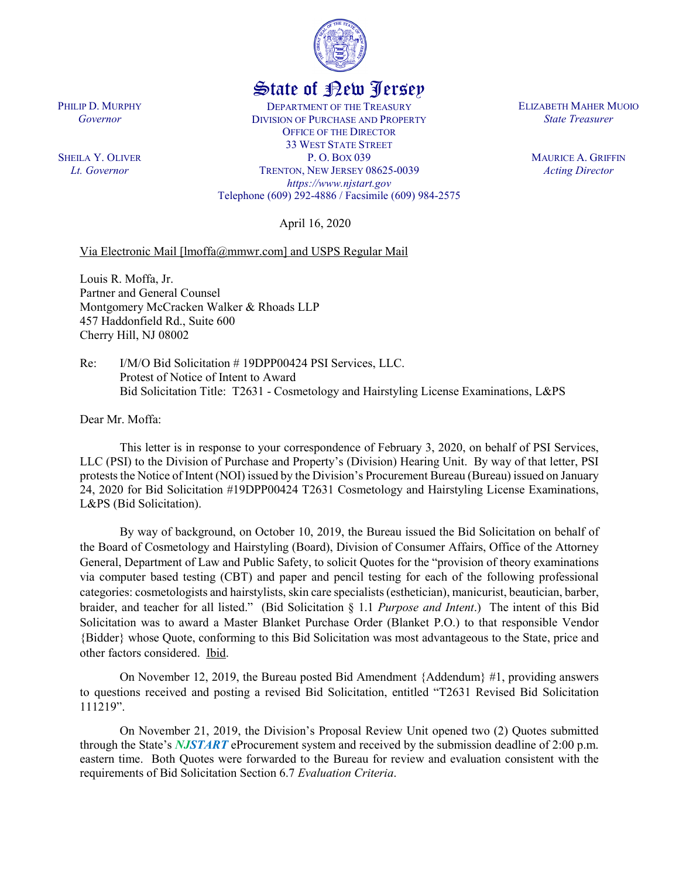

## State of New Jersey

DEPARTMENT OF THE TREASURY DIVISION OF PURCHASE AND PROPERTY OFFICE OF THE DIRECTOR 33 WEST STATE STREET P. O. BOX 039 TRENTON, NEW JERSEY 08625-0039 *https://www.njstart.gov* Telephone (609) 292-4886 / Facsimile (609) 984-2575

April 16, 2020

## Via Electronic Mail [lmoffa@mmwr.com] and USPS Regular Mail

Louis R. Moffa, Jr. Partner and General Counsel Montgomery McCracken Walker & Rhoads LLP 457 Haddonfield Rd., Suite 600 Cherry Hill, NJ 08002

Re: I/M/O Bid Solicitation # 19DPP00424 PSI Services, LLC. Protest of Notice of Intent to Award Bid Solicitation Title: T2631 - Cosmetology and Hairstyling License Examinations, L&PS

Dear Mr. Moffa:

This letter is in response to your correspondence of February 3, 2020, on behalf of PSI Services, LLC (PSI) to the Division of Purchase and Property's (Division) Hearing Unit. By way of that letter, PSI protests the Notice of Intent (NOI) issued by the Division's Procurement Bureau (Bureau) issued on January 24, 2020 for Bid Solicitation #19DPP00424 T2631 Cosmetology and Hairstyling License Examinations, L&PS (Bid Solicitation).

By way of background, on October 10, 2019, the Bureau issued the Bid Solicitation on behalf of the Board of Cosmetology and Hairstyling (Board), Division of Consumer Affairs, Office of the Attorney General, Department of Law and Public Safety, to solicit Quotes for the "provision of theory examinations via computer based testing (CBT) and paper and pencil testing for each of the following professional categories: cosmetologists and hairstylists, skin care specialists (esthetician), manicurist, beautician, barber, braider, and teacher for all listed." (Bid Solicitation § 1.1 *Purpose and Intent*.) The intent of this Bid Solicitation was to award a Master Blanket Purchase Order (Blanket P.O.) to that responsible Vendor {Bidder} whose Quote, conforming to this Bid Solicitation was most advantageous to the State, price and other factors considered. Ibid.

On November 12, 2019, the Bureau posted Bid Amendment {Addendum} #1, providing answers to questions received and posting a revised Bid Solicitation, entitled "T2631 Revised Bid Solicitation 111219".

On November 21, 2019, the Division's Proposal Review Unit opened two (2) Quotes submitted through the State's *NJSTART* eProcurement system and received by the submission deadline of 2:00 p.m. eastern time. Both Quotes were forwarded to the Bureau for review and evaluation consistent with the requirements of Bid Solicitation Section 6.7 *Evaluation Criteria*.

PHILIP D. MURPHY *Governor*

SHEILA Y. OLIVER *Lt. Governor*

ELIZABETH MAHER MUOIO *State Treasurer*

> MAURICE A. GRIFFIN *Acting Director*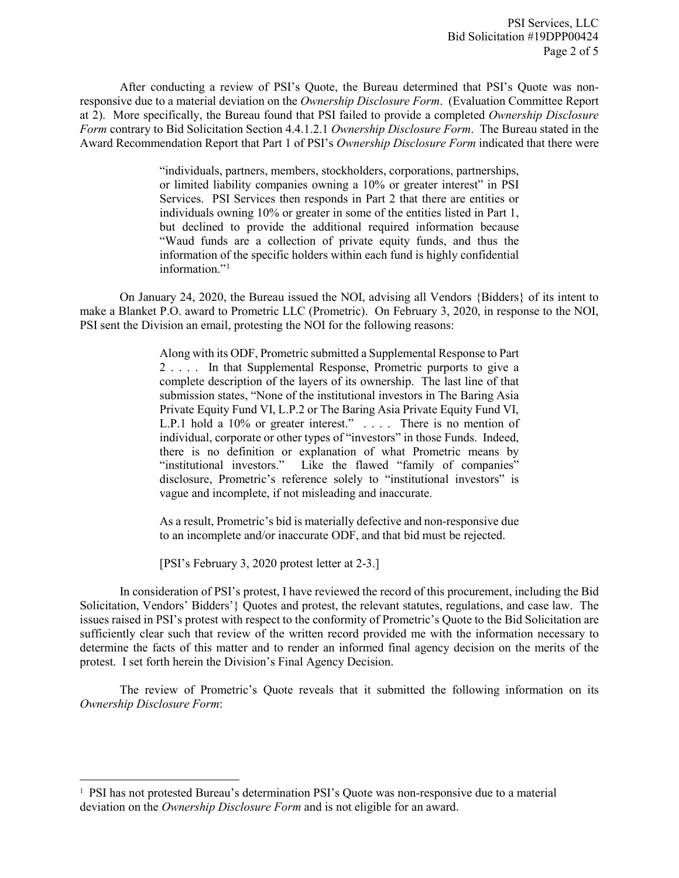After conducting a review of PSI's Quote, the Bureau determined that PSI's Quote was nonresponsive due to a material deviation on the *Ownership Disclosure Form*. (Evaluation Committee Report at 2). More specifically, the Bureau found that PSI failed to provide a completed *Ownership Disclosure Form* contrary to Bid Solicitation Section 4.4.1.2.1 *Ownership Disclosure Form*. The Bureau stated in the Award Recommendation Report that Part 1 of PSI's *Ownership Disclosure Form* indicated that there were

> "individuals, partners, members, stockholders, corporations, partnerships, or limited liability companies owning a 10% or greater interest" in PSI Services. PSI Services then responds in Part 2 that there are entities or individuals owning 10% or greater in some of the entities listed in Part 1, but declined to provide the additional required information because "Waud funds are a collection of private equity funds, and thus the information of the specific holders within each fund is highly confidential information."<sup>[1](#page-1-0)</sup>

On January 24, 2020, the Bureau issued the NOI, advising all Vendors {Bidders} of its intent to make a Blanket P.O. award to Prometric LLC (Prometric). On February 3, 2020, in response to the NOI, PSI sent the Division an email, protesting the NOI for the following reasons:

> Along with its ODF, Prometric submitted a Supplemental Response to Part 2 . . . . In that Supplemental Response, Prometric purports to give a complete description of the layers of its ownership. The last line of that submission states, "None of the institutional investors in The Baring Asia Private Equity Fund VI, L.P.2 or The Baring Asia Private Equity Fund VI, L.P.1 hold a 10% or greater interest." . . . . There is no mention of individual, corporate or other types of "investors" in those Funds. Indeed, there is no definition or explanation of what Prometric means by "institutional investors." Like the flawed "family of companies" disclosure, Prometric's reference solely to "institutional investors" is vague and incomplete, if not misleading and inaccurate.

> As a result, Prometric's bid is materially defective and non-responsive due to an incomplete and/or inaccurate ODF, and that bid must be rejected.

[PSI's February 3, 2020 protest letter at 2-3.]

 $\overline{\phantom{a}}$ 

In consideration of PSI's protest, I have reviewed the record of this procurement, including the Bid Solicitation, Vendors' Bidders'} Quotes and protest, the relevant statutes, regulations, and case law. The issues raised in PSI's protest with respect to the conformity of Prometric's Quote to the Bid Solicitation are sufficiently clear such that review of the written record provided me with the information necessary to determine the facts of this matter and to render an informed final agency decision on the merits of the protest. I set forth herein the Division's Final Agency Decision.

The review of Prometric's Quote reveals that it submitted the following information on its *Ownership Disclosure Form*:

<span id="page-1-0"></span><sup>1</sup> PSI has not protested Bureau's determination PSI's Quote was non-responsive due to a material deviation on the *Ownership Disclosure Form* and is not eligible for an award.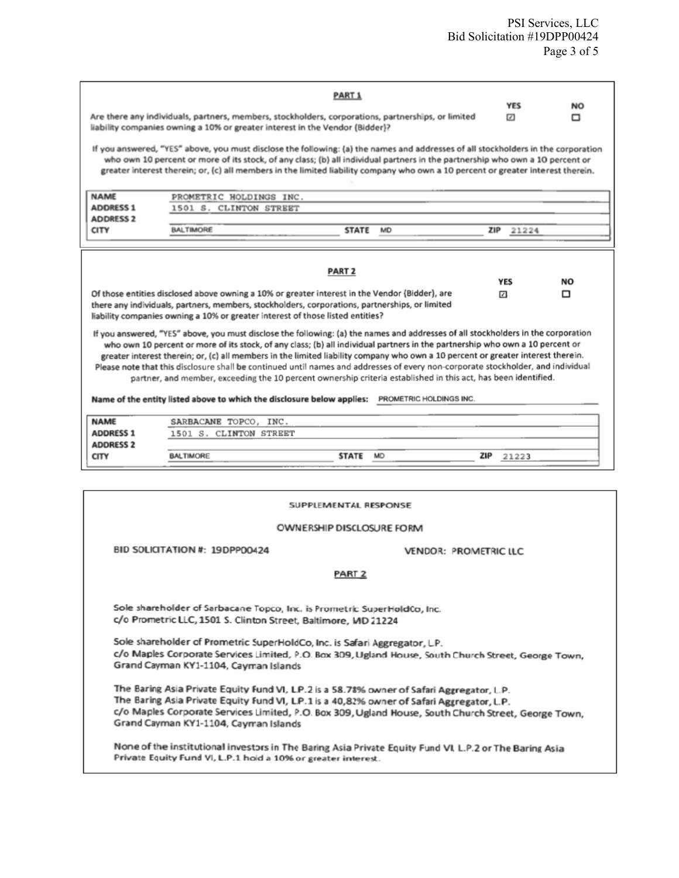|                                                                                                                                                                                                                                                                                                                                                                                                                                                                                                                                                                    | Are there any individuals, partners, members, stockholders, corporations, partnerships, or limited | <b>PART 1</b> |           | <b>YES</b><br>$\Box$ | NO<br>▭ |
|--------------------------------------------------------------------------------------------------------------------------------------------------------------------------------------------------------------------------------------------------------------------------------------------------------------------------------------------------------------------------------------------------------------------------------------------------------------------------------------------------------------------------------------------------------------------|----------------------------------------------------------------------------------------------------|---------------|-----------|----------------------|---------|
| liability companies owning a 10% or greater interest in the Vendor (Bidder)?<br>If you answered, "YES" above, you must disclose the following: (a) the names and addresses of all stockholders in the corporation<br>who own 10 percent or more of its stock, of any class; (b) all individual partners in the partnership who own a 10 percent or<br>greater interest therein; or, (c) all members in the limited liability company who own a 10 percent or greater interest therein.                                                                             |                                                                                                    |               |           |                      |         |
| <b>NAME</b><br><b>ADDRESS 1</b><br><b>ADDRESS 2</b>                                                                                                                                                                                                                                                                                                                                                                                                                                                                                                                | PROMETRIC HOLDINGS INC.<br>1501 S. CLINTON STREET                                                  |               |           |                      |         |
| <b>CITY</b>                                                                                                                                                                                                                                                                                                                                                                                                                                                                                                                                                        | <b>BALTIMORE</b>                                                                                   | <b>STATE</b>  | <b>MD</b> | ZIP<br>21224         |         |
| Of those entities disclosed above owning a 10% or greater interest in the Vendor (Bidder), are<br>⊡<br>□<br>there any individuals, partners, members, stockholders, corporations, partnerships, or limited<br>liability companies owning a 10% or greater interest of those listed entities?<br>If you answered, "YES" above, you must disclose the following: (a) the names and addresses of all stockholders in the corporation<br>who own 10 percent or more of its stock, of any class; (b) all individual partners in the partnership who own a 10 percent or |                                                                                                    |               |           |                      |         |
| greater interest therein; or, (c) all members in the limited liability company who own a 10 percent or greater interest therein.<br>Please note that this disclosure shall be continued until names and addresses of every non-corporate stockholder, and individual<br>partner, and member, exceeding the 10 percent ownership criteria established in this act, has been identified.<br>Name of the entity listed above to which the disclosure below applies: PROMETRIC HOLDINGS INC.                                                                           |                                                                                                    |               |           |                      |         |
| <b>NAME</b><br><b>ADDRESS 1</b><br><b>ADDRESS 2</b>                                                                                                                                                                                                                                                                                                                                                                                                                                                                                                                | SARBACANE TOPCO, INC.<br>1501 S. CLINTON STREET                                                    |               |           |                      |         |
| <b>CITY</b>                                                                                                                                                                                                                                                                                                                                                                                                                                                                                                                                                        | <b>BALTIMORE</b>                                                                                   | <b>STATE</b>  | <b>MD</b> | ZIP<br>21223         |         |
|                                                                                                                                                                                                                                                                                                                                                                                                                                                                                                                                                                    |                                                                                                    |               |           |                      |         |
| SUPPLEMENTAL RESPONSE                                                                                                                                                                                                                                                                                                                                                                                                                                                                                                                                              |                                                                                                    |               |           |                      |         |

## **OWNERSHIP DISCLOSURE FORM**

BID SOLICITATION #: 19DPP00424

VENDOR: PROMETRIC LLC

PART<sub>2</sub>

Sole shareholder of Sarbacane Topco, Inc. is Prometric SuperHoldCo, Inc. c/o Prometric LLC, 1501 S. Clinton Street, Baltimore, MD 21224

Sole shareholder of Prometric SuperHoldCo, Inc. is Safari Aggregator, LP. c/o Maples Corporate Services Limited, P.O. Box 309, Ugland House, South Church Street, George Town, Grand Cayman KY1-1104, Cayman Islands

The Baring Asia Private Equity Fund VI, L.P.2 is a 58.78% owner of Safari Aggregator, L.P. The Baring Asia Private Equity Fund VI, L.P.1 is a 40,82% owner of Safari Aggregator, L.P. c/o Maples Corporate Services Limited, P.O. Box 309, Ugland House, South Church Street, George Town, Grand Cayman KY1-1104, Cayman Islands

None of the institutional investors in The Baring Asia Private Equity Fund VI, L.P.2 or The Baring Asia Private Equity Fund VI, L.P.1 hold a 10% or greater interest.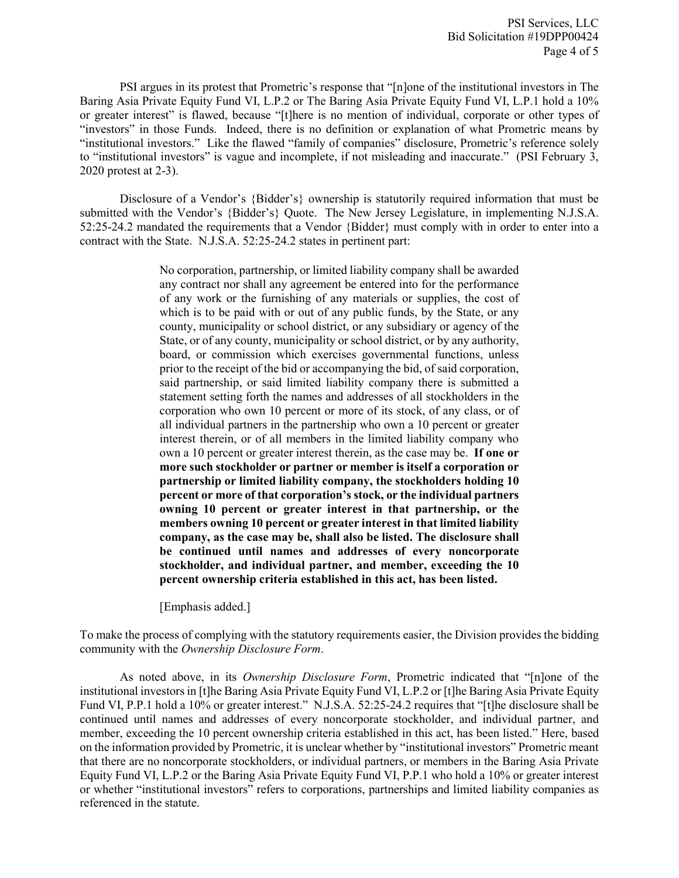PSI argues in its protest that Prometric's response that "[n]one of the institutional investors in The Baring Asia Private Equity Fund VI, L.P.2 or The Baring Asia Private Equity Fund VI, L.P.1 hold a 10% or greater interest" is flawed, because "[t]here is no mention of individual, corporate or other types of "investors" in those Funds. Indeed, there is no definition or explanation of what Prometric means by "institutional investors." Like the flawed "family of companies" disclosure, Prometric's reference solely to "institutional investors" is vague and incomplete, if not misleading and inaccurate." (PSI February 3, 2020 protest at 2-3).

Disclosure of a Vendor's {Bidder's} ownership is statutorily required information that must be submitted with the Vendor's {Bidder's} Quote. The New Jersey Legislature, in implementing N.J.S.A. 52:25-24.2 mandated the requirements that a Vendor {Bidder} must comply with in order to enter into a contract with the State. N.J.S.A. 52:25-24.2 states in pertinent part:

> No corporation, partnership, or limited liability company shall be awarded any contract nor shall any agreement be entered into for the performance of any work or the furnishing of any materials or supplies, the cost of which is to be paid with or out of any public funds, by the State, or any county, municipality or school district, or any subsidiary or agency of the State, or of any county, municipality or school district, or by any authority, board, or commission which exercises governmental functions, unless prior to the receipt of the bid or accompanying the bid, of said corporation, said partnership, or said limited liability company there is submitted a statement setting forth the names and addresses of all stockholders in the corporation who own 10 percent or more of its stock, of any class, or of all individual partners in the partnership who own a 10 percent or greater interest therein, or of all members in the limited liability company who own a 10 percent or greater interest therein, as the case may be. **If one or more such stockholder or partner or member is itself a corporation or partnership or limited liability company, the stockholders holding 10 percent or more of that corporation's stock, or the individual partners owning 10 percent or greater interest in that partnership, or the members owning 10 percent or greater interest in that limited liability company, as the case may be, shall also be listed. The disclosure shall be continued until names and addresses of every noncorporate stockholder, and individual partner, and member, exceeding the 10 percent ownership criteria established in this act, has been listed.**

[Emphasis added.]

To make the process of complying with the statutory requirements easier, the Division provides the bidding community with the *Ownership Disclosure Form*.

As noted above, in its *Ownership Disclosure Form*, Prometric indicated that "[n]one of the institutional investors in [t]he Baring Asia Private Equity Fund VI, L.P.2 or [t]he Baring Asia Private Equity Fund VI, P.P.1 hold a 10% or greater interest." N.J.S.A. 52:25-24.2 requires that "[t]he disclosure shall be continued until names and addresses of every noncorporate stockholder, and individual partner, and member, exceeding the 10 percent ownership criteria established in this act, has been listed." Here, based on the information provided by Prometric, it is unclear whether by "institutional investors" Prometric meant that there are no noncorporate stockholders, or individual partners, or members in the Baring Asia Private Equity Fund VI, L.P.2 or the Baring Asia Private Equity Fund VI, P.P.1 who hold a 10% or greater interest or whether "institutional investors" refers to corporations, partnerships and limited liability companies as referenced in the statute.